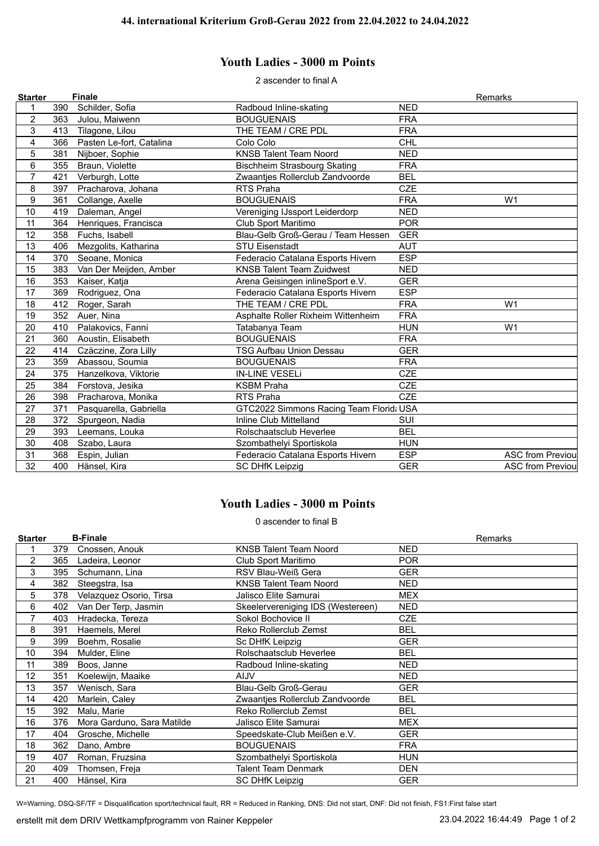## **Youth Ladies - 3000 m Points**

2 ascender to final A

| <b>Starter</b> |     | <b>Finale</b>            |                                         |            | Remarks                  |
|----------------|-----|--------------------------|-----------------------------------------|------------|--------------------------|
|                | 390 | Schilder, Sofia          | Radboud Inline-skating                  | <b>NED</b> |                          |
| $\overline{c}$ | 363 | Julou, Maiwenn           | <b>BOUGUENAIS</b>                       | <b>FRA</b> |                          |
| 3              | 413 | Tilagone, Lilou          | THE TEAM / CRE PDL                      | <b>FRA</b> |                          |
| 4              | 366 | Pasten Le-fort, Catalina | Colo Colo                               | CHL        |                          |
| 5              | 381 | Nijboer, Sophie          | <b>KNSB Talent Team Noord</b>           | <b>NED</b> |                          |
| 6              | 355 | Braun, Violette          | <b>Bischheim Strasbourg Skating</b>     | <b>FRA</b> |                          |
| $\overline{7}$ | 421 | Verburgh, Lotte          | Zwaantjes Rollerclub Zandvoorde         | <b>BEL</b> |                          |
| 8              | 397 | Pracharova, Johana       | RTS Praha                               | <b>CZE</b> |                          |
| 9              | 361 | Collange, Axelle         | <b>BOUGUENAIS</b>                       | <b>FRA</b> | W <sub>1</sub>           |
| 10             | 419 | Daleman, Angel           | Vereniging IJssport Leiderdorp          | <b>NED</b> |                          |
| 11             | 364 | Henriques, Francisca     | Club Sport Maritimo                     | <b>POR</b> |                          |
| 12             | 358 | Fuchs, Isabell           | Blau-Gelb Groß-Gerau / Team Hessen      | <b>GER</b> |                          |
| 13             | 406 | Mezgolits, Katharina     | <b>STU Eisenstadt</b>                   | <b>AUT</b> |                          |
| 14             | 370 | Seoane, Monica           | Federacio Catalana Esports Hivern       | <b>ESP</b> |                          |
| 15             | 383 | Van Der Meijden, Amber   | <b>KNSB Talent Team Zuidwest</b>        | <b>NED</b> |                          |
| 16             | 353 | Kaiser, Katja            | Arena Geisingen inlineSport e.V.        | <b>GER</b> |                          |
| 17             | 369 | Rodriguez, Ona           | Federacio Catalana Esports Hivern       | <b>ESP</b> |                          |
| 18             | 412 | Roger, Sarah             | THE TEAM / CRE PDL                      | <b>FRA</b> | W <sub>1</sub>           |
| 19             | 352 | Auer, Nina               | Asphalte Roller Rixheim Wittenheim      | <b>FRA</b> |                          |
| 20             | 410 | Palakovics, Fanni        | Tatabanya Team                          | <b>HUN</b> | W <sub>1</sub>           |
| 21             | 360 | Aoustin, Elisabeth       | <b>BOUGUENAIS</b>                       | <b>FRA</b> |                          |
| 22             | 414 | Czäczine, Zora Lilly     | <b>TSG Aufbau Union Dessau</b>          | <b>GER</b> |                          |
| 23             | 359 | Abassou, Soumia          | <b>BOUGUENAIS</b>                       | <b>FRA</b> |                          |
| 24             | 375 | Hanzelkova, Viktorie     | <b>IN-LINE VESELi</b>                   | <b>CZE</b> |                          |
| 25             | 384 | Forstova, Jesika         | <b>KSBM Praha</b>                       | <b>CZE</b> |                          |
| 26             | 398 | Pracharova, Monika       | <b>RTS Praha</b>                        | <b>CZE</b> |                          |
| 27             | 371 | Pasquarella, Gabriella   | GTC2022 Simmons Racing Team Florid: USA |            |                          |
| 28             | 372 | Spurgeon, Nadia          | Inline Club Mittelland                  | SUI        |                          |
| 29             | 393 | Leemans, Louka           | Rolschaatsclub Heverlee                 | <b>BEL</b> |                          |
| 30             | 408 | Szabo, Laura             | Szombathelyi Sportiskola                | <b>HUN</b> |                          |
| 31             | 368 | Espin, Julian            | Federacio Catalana Esports Hivern       | <b>ESP</b> | <b>ASC from Previoul</b> |
| 32             | 400 | Hänsel, Kira             | <b>SC DHfK Leipzig</b>                  | <b>GER</b> | <b>ASC from Previoul</b> |

## **Youth Ladies - 3000 m Points**

0 ascender to final B

| <b>Starter</b> |     | <b>B-Finale</b>            |                                   | Remarks    |
|----------------|-----|----------------------------|-----------------------------------|------------|
|                | 379 | Cnossen, Anouk             | <b>KNSB Talent Team Noord</b>     | <b>NED</b> |
| 2              | 365 | Ladeira, Leonor            | Club Sport Maritimo               | <b>POR</b> |
| 3              | 395 | Schumann, Lina             | RSV Blau-Weiß Gera                | <b>GER</b> |
| 4              | 382 | Steegstra, Isa             | <b>KNSB Talent Team Noord</b>     | <b>NED</b> |
| 5              | 378 | Velazquez Osorio, Tirsa    | Jalisco Elite Samurai             | <b>MEX</b> |
| 6              | 402 | Van Der Terp, Jasmin       | Skeelervereniging IDS (Westereen) | <b>NED</b> |
| 7              | 403 | Hradecka, Tereza           | Sokol Bochovice II                | <b>CZE</b> |
| 8              | 391 | Haemels, Merel             | Reko Rollerclub Zemst             | <b>BEL</b> |
| 9              | 399 | Boehm, Rosalie             | Sc DHfK Leipzig                   | <b>GER</b> |
| 10             | 394 | Mulder, Eline              | Rolschaatsclub Heverlee           | <b>BEL</b> |
| 11             | 389 | Boos, Janne                | Radboud Inline-skating            | <b>NED</b> |
| 12             | 351 | Koelewijn, Maaike          | <b>AIJV</b>                       | NED.       |
| 13             | 357 | Wenisch, Sara              | Blau-Gelb Groß-Gerau              | <b>GER</b> |
| 14             | 420 | Marlein, Caley             | Zwaantjes Rollerclub Zandvoorde   | <b>BEL</b> |
| 15             | 392 | Malu, Marie                | Reko Rollerclub Zemst             | <b>BEL</b> |
| 16             | 376 | Mora Garduno, Sara Matilde | Jalisco Elite Samurai             | <b>MEX</b> |
| 17             | 404 | Grosche, Michelle          | Speedskate-Club Meißen e.V.       | <b>GER</b> |
| 18             | 362 | Dano, Ambre                | <b>BOUGUENAIS</b>                 | <b>FRA</b> |
| 19             | 407 | Roman, Fruzsina            | Szombathelyi Sportiskola          | <b>HUN</b> |
| 20             | 409 | Thomsen, Freja             | Talent Team Denmark               | <b>DEN</b> |
| 21             | 400 | Hänsel, Kira               | <b>SC DHfK Leipzig</b>            | <b>GER</b> |

W=Warning, DSQ-SF/TF = Disqualification sport/technical fault, RR = Reduced in Ranking, DNS: Did not start, DNF: Did not finish, FS1:First false start